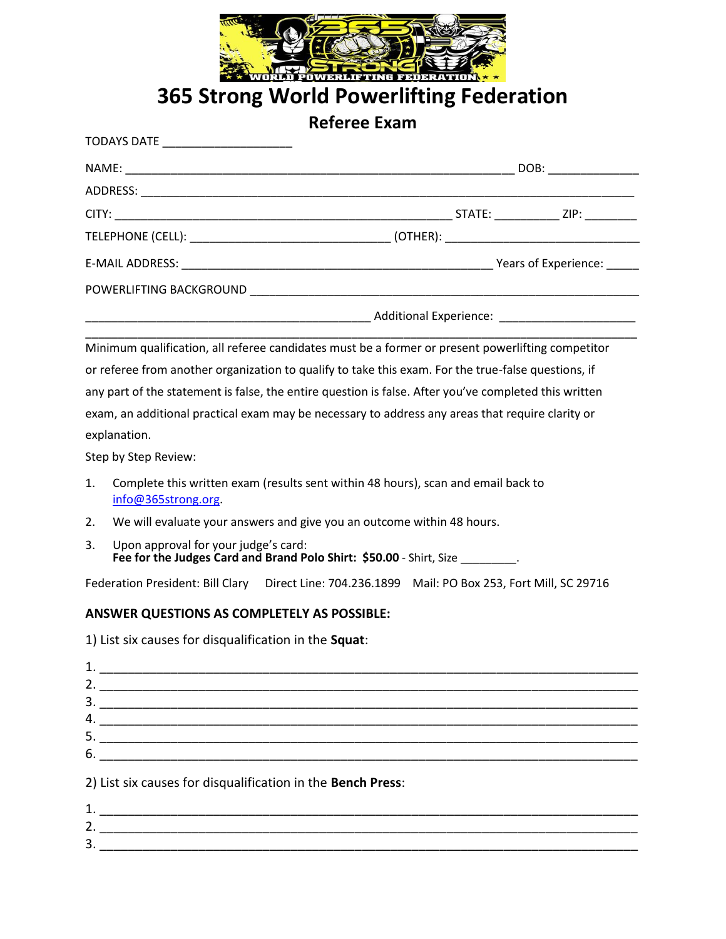

**365 Strong World Powerlifting Federation**

**Referee Exam**

| TODAYS DATE ________________________                                                                  |  |
|-------------------------------------------------------------------------------------------------------|--|
|                                                                                                       |  |
|                                                                                                       |  |
|                                                                                                       |  |
|                                                                                                       |  |
|                                                                                                       |  |
|                                                                                                       |  |
|                                                                                                       |  |
| Minimum qualification, all referee candidates must be a former or present powerlifting competitor     |  |
| or referee from another organization to qualify to take this exam. For the true-false questions, if   |  |
| any part of the statement is false, the entire question is false. After you've completed this written |  |
| exam, an additional practical exam may be necessary to address any areas that require clarity or      |  |
| explanation.                                                                                          |  |

Step by Step Review:

- 1. Complete this written exam (results sent within 48 hours), scan and email back to [info@365strong.org.](mailto:info@365strong.org)
- 2. We will evaluate your answers and give you an outcome within 48 hours.
- 3. Upon approval for your judge's card: **Fee for the Judges Card and Brand Polo Shirt: \$50.00** - Shirt, Size \_\_\_\_\_\_\_\_\_.

Federation President: Bill Clary Direct Line: 704.236.1899 Mail: PO Box 253, Fort Mill, SC 29716

## **ANSWER QUESTIONS AS COMPLETELY AS POSSIBLE:**

1) List six causes for disqualification in the **Squat**:

| 2. |                                                             |
|----|-------------------------------------------------------------|
| 3. |                                                             |
| 4. |                                                             |
|    |                                                             |
| 6. |                                                             |
|    | 2) List six causes for disqualification in the Bench Press: |
| 1  |                                                             |
| 2. |                                                             |
| 3. |                                                             |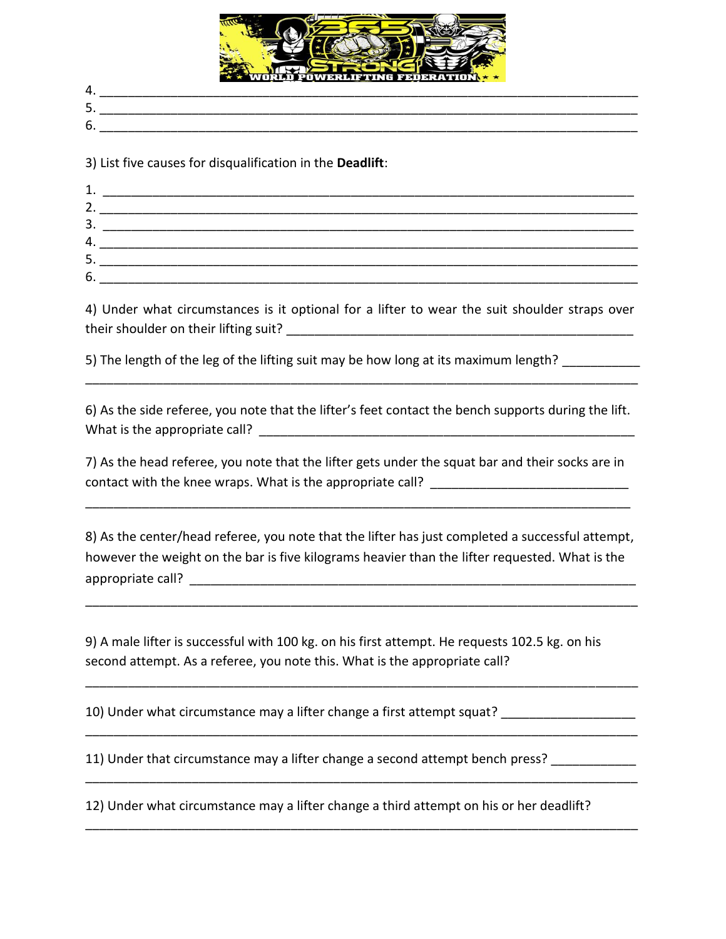

| . .<br>. .           |  |
|----------------------|--|
| -<br>. .<br><u>.</u> |  |
| ∼<br>h<br>v.         |  |

3) List five causes for disqualification in the **Deadlift**:

| z. |  |
|----|--|
| 3. |  |
| 4. |  |
| 5. |  |
| 6. |  |

4) Under what circumstances is it optional for a lifter to wear the suit shoulder straps over their shoulder on their lifting suit? \_\_\_\_\_\_\_\_\_\_\_\_\_\_\_\_\_\_\_\_\_\_\_\_\_\_\_\_\_\_\_\_\_\_\_\_\_\_\_\_\_\_\_\_\_\_\_\_\_

5) The length of the leg of the lifting suit may be how long at its maximum length?

6) As the side referee, you note that the lifter's feet contact the bench supports during the lift. What is the appropriate call? \_\_\_\_\_\_\_\_\_\_\_\_\_\_\_\_\_\_\_\_\_\_\_\_\_\_\_\_\_\_\_\_\_\_\_\_\_\_\_\_\_\_\_\_\_\_\_\_\_\_\_\_\_

\_\_\_\_\_\_\_\_\_\_\_\_\_\_\_\_\_\_\_\_\_\_\_\_\_\_\_\_\_\_\_\_\_\_\_\_\_\_\_\_\_\_\_\_\_\_\_\_\_\_\_\_\_\_\_\_\_\_\_\_\_\_\_\_\_\_\_\_\_\_\_\_\_\_\_\_\_\_

7) As the head referee, you note that the lifter gets under the squat bar and their socks are in contact with the knee wraps. What is the appropriate call? \_\_\_\_\_\_\_\_\_\_\_\_\_\_\_\_\_\_\_\_\_

\_\_\_\_\_\_\_\_\_\_\_\_\_\_\_\_\_\_\_\_\_\_\_\_\_\_\_\_\_\_\_\_\_\_\_\_\_\_\_\_\_\_\_\_\_\_\_\_\_\_\_\_\_\_\_\_\_\_\_\_\_\_\_\_\_\_\_\_\_\_\_\_\_\_\_\_\_

8) As the center/head referee, you note that the lifter has just completed a successful attempt, however the weight on the bar is five kilograms heavier than the lifter requested. What is the appropriate call? \_\_\_\_\_\_\_\_\_\_\_\_\_\_\_\_\_\_\_\_\_\_\_\_\_\_\_\_\_\_\_\_\_\_\_\_\_\_\_\_\_\_\_\_\_\_\_\_\_\_\_\_\_\_\_\_\_\_\_\_\_\_\_

\_\_\_\_\_\_\_\_\_\_\_\_\_\_\_\_\_\_\_\_\_\_\_\_\_\_\_\_\_\_\_\_\_\_\_\_\_\_\_\_\_\_\_\_\_\_\_\_\_\_\_\_\_\_\_\_\_\_\_\_\_\_\_\_\_\_\_\_\_\_\_\_\_\_\_\_\_\_

\_\_\_\_\_\_\_\_\_\_\_\_\_\_\_\_\_\_\_\_\_\_\_\_\_\_\_\_\_\_\_\_\_\_\_\_\_\_\_\_\_\_\_\_\_\_\_\_\_\_\_\_\_\_\_\_\_\_\_\_\_\_\_\_\_\_\_\_\_\_\_\_\_\_\_\_\_\_

\_\_\_\_\_\_\_\_\_\_\_\_\_\_\_\_\_\_\_\_\_\_\_\_\_\_\_\_\_\_\_\_\_\_\_\_\_\_\_\_\_\_\_\_\_\_\_\_\_\_\_\_\_\_\_\_\_\_\_\_\_\_\_\_\_\_\_\_\_\_\_\_\_\_\_\_\_\_

\_\_\_\_\_\_\_\_\_\_\_\_\_\_\_\_\_\_\_\_\_\_\_\_\_\_\_\_\_\_\_\_\_\_\_\_\_\_\_\_\_\_\_\_\_\_\_\_\_\_\_\_\_\_\_\_\_\_\_\_\_\_\_\_\_\_\_\_\_\_\_\_\_\_\_\_\_\_

\_\_\_\_\_\_\_\_\_\_\_\_\_\_\_\_\_\_\_\_\_\_\_\_\_\_\_\_\_\_\_\_\_\_\_\_\_\_\_\_\_\_\_\_\_\_\_\_\_\_\_\_\_\_\_\_\_\_\_\_\_\_\_\_\_\_\_\_\_\_\_\_\_\_\_\_\_\_

9) A male lifter is successful with 100 kg. on his first attempt. He requests 102.5 kg. on his second attempt. As a referee, you note this. What is the appropriate call?

10) Under what circumstance may a lifter change a first attempt squat? \_\_\_\_\_\_\_\_\_\_\_\_\_\_\_\_

11) Under that circumstance may a lifter change a second attempt bench press? \_\_\_\_\_\_\_\_\_\_\_\_\_

12) Under what circumstance may a lifter change a third attempt on his or her deadlift?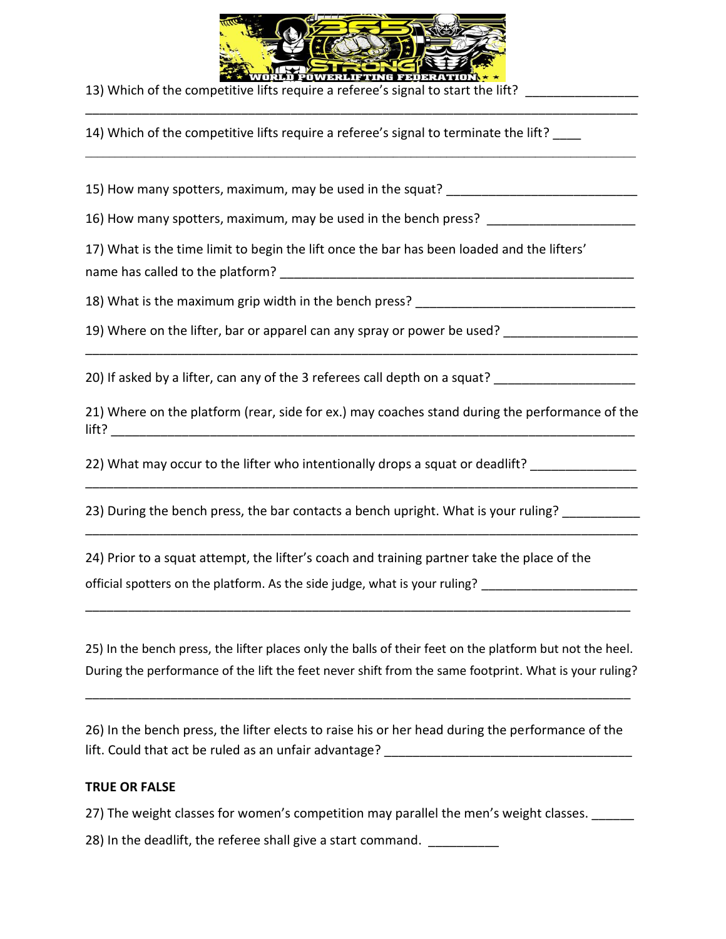

\_\_\_\_\_\_\_\_\_\_\_\_\_\_\_\_\_\_\_\_\_\_\_\_\_\_\_\_\_\_\_\_\_\_\_\_\_\_\_\_\_\_\_\_\_\_\_\_\_\_\_\_\_\_\_\_\_\_\_\_\_\_\_\_\_\_\_\_\_\_\_\_\_\_\_\_\_\_

 $\_$  ,  $\_$  ,  $\_$  ,  $\_$  ,  $\_$  ,  $\_$  ,  $\_$  ,  $\_$  ,  $\_$  ,  $\_$  ,  $\_$  ,  $\_$  ,  $\_$  ,  $\_$  ,  $\_$  ,  $\_$  ,  $\_$  ,  $\_$  ,  $\_$  ,  $\_$  ,  $\_$  ,  $\_$  ,  $\_$  ,  $\_$  ,  $\_$  ,  $\_$  ,  $\_$  ,  $\_$  ,  $\_$  ,  $\_$  ,  $\_$  ,  $\_$  ,  $\_$  ,  $\_$  ,  $\_$  ,  $\_$  ,  $\_$  ,

13) Which of the competitive lifts require a referee's signal to start the lift? \_\_\_\_\_\_\_\_\_\_\_

14) Which of the competitive lifts require a referee's signal to terminate the lift?

15) How many spotters, maximum, may be used in the squat?

16) How many spotters, maximum, may be used in the bench press?

17) What is the time limit to begin the lift once the bar has been loaded and the lifters' name has called to the platform? **Example 20** and the state of the state of the state of the state of the state o

18) What is the maximum grip width in the bench press? \_\_\_\_\_\_\_\_\_\_\_\_\_\_\_\_\_\_\_\_\_\_\_\_\_

19) Where on the lifter, bar or apparel can any spray or power be used?

20) If asked by a lifter, can any of the 3 referees call depth on a squat?

21) Where on the platform (rear, side for ex.) may coaches stand during the performance of the  $\frac{1}{2}$  if the set of  $\frac{1}{2}$  and  $\frac{1}{2}$  and  $\frac{1}{2}$  and  $\frac{1}{2}$  and  $\frac{1}{2}$  and  $\frac{1}{2}$  and  $\frac{1}{2}$  and  $\frac{1}{2}$  and  $\frac{1}{2}$  and  $\frac{1}{2}$  and  $\frac{1}{2}$  and  $\frac{1}{2}$  and  $\frac{1}{2}$  and  $\frac{1}{2}$  and

\_\_\_\_\_\_\_\_\_\_\_\_\_\_\_\_\_\_\_\_\_\_\_\_\_\_\_\_\_\_\_\_\_\_\_\_\_\_\_\_\_\_\_\_\_\_\_\_\_\_\_\_\_\_\_\_\_\_\_\_\_\_\_\_\_\_\_\_\_\_\_\_\_\_\_\_\_\_

\_\_\_\_\_\_\_\_\_\_\_\_\_\_\_\_\_\_\_\_\_\_\_\_\_\_\_\_\_\_\_\_\_\_\_\_\_\_\_\_\_\_\_\_\_\_\_\_\_\_\_\_\_\_\_\_\_\_\_\_\_\_\_\_\_\_\_\_\_\_\_\_\_\_\_\_\_\_

\_\_\_\_\_\_\_\_\_\_\_\_\_\_\_\_\_\_\_\_\_\_\_\_\_\_\_\_\_\_\_\_\_\_\_\_\_\_\_\_\_\_\_\_\_\_\_\_\_\_\_\_\_\_\_\_\_\_\_\_\_\_\_\_\_\_\_\_\_\_\_\_\_\_\_\_\_\_

22) What may occur to the lifter who intentionally drops a squat or deadlift?

23) During the bench press, the bar contacts a bench upright. What is your ruling?

24) Prior to a squat attempt, the lifter's coach and training partner take the place of the

official spotters on the platform. As the side judge, what is your ruling? \_\_\_\_\_\_\_\_\_\_\_\_\_\_\_\_\_\_\_\_\_\_\_\_

25) In the bench press, the lifter places only the balls of their feet on the platform but not the heel. During the performance of the lift the feet never shift from the same footprint. What is your ruling?

\_\_\_\_\_\_\_\_\_\_\_\_\_\_\_\_\_\_\_\_\_\_\_\_\_\_\_\_\_\_\_\_\_\_\_\_\_\_\_\_\_\_\_\_\_\_\_\_\_\_\_\_\_\_\_\_\_\_\_\_\_\_\_\_\_\_\_\_\_\_\_\_\_\_\_\_\_

\_\_\_\_\_\_\_\_\_\_\_\_\_\_\_\_\_\_\_\_\_\_\_\_\_\_\_\_\_\_\_\_\_\_\_\_\_\_\_\_\_\_\_\_\_\_\_\_\_\_\_\_\_\_\_\_\_\_\_\_\_\_\_\_\_\_\_\_\_\_\_\_\_\_\_\_\_

26) In the bench press, the lifter elects to raise his or her head during the performance of the lift. Could that act be ruled as an unfair advantage?

## **TRUE OR FALSE**

27) The weight classes for women's competition may parallel the men's weight classes.

28) In the deadlift, the referee shall give a start command.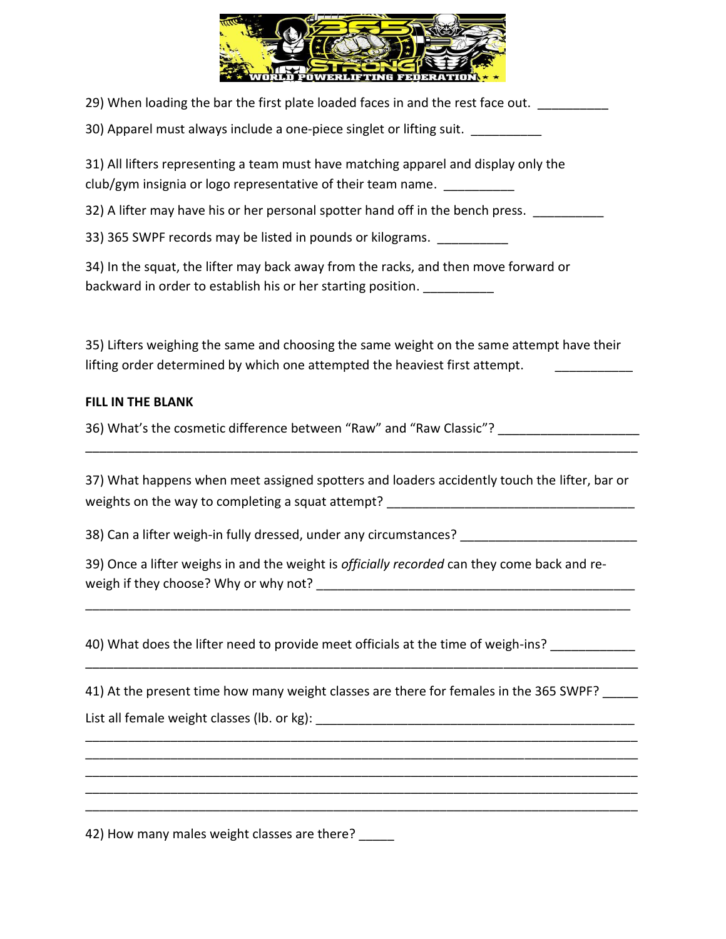

|  | 29) When loading the bar the first plate loaded faces in and the rest face out. |  |  |  |
|--|---------------------------------------------------------------------------------|--|--|--|
|  |                                                                                 |  |  |  |

30) Apparel must always include a one-piece singlet or lifting suit. \_\_\_\_\_\_\_\_\_\_\_

31) All lifters representing a team must have matching apparel and display only the club/gym insignia or logo representative of their team name.

32) A lifter may have his or her personal spotter hand off in the bench press.

33) 365 SWPF records may be listed in pounds or kilograms. \_\_\_\_\_\_\_\_\_\_\_

34) In the squat, the lifter may back away from the racks, and then move forward or backward in order to establish his or her starting position.

35) Lifters weighing the same and choosing the same weight on the same attempt have their lifting order determined by which one attempted the heaviest first attempt.

## **FILL IN THE BLANK**

36) What's the cosmetic difference between "Raw" and "Raw Classic"?

37) What happens when meet assigned spotters and loaders accidently touch the lifter, bar or weights on the way to completing a squat attempt? \_\_\_\_\_\_\_\_\_\_\_\_\_\_\_\_\_\_\_\_\_\_\_\_\_\_\_\_\_\_

\_\_\_\_\_\_\_\_\_\_\_\_\_\_\_\_\_\_\_\_\_\_\_\_\_\_\_\_\_\_\_\_\_\_\_\_\_\_\_\_\_\_\_\_\_\_\_\_\_\_\_\_\_\_\_\_\_\_\_\_\_\_\_\_\_\_\_\_\_\_\_\_\_\_\_\_\_\_

38) Can a lifter weigh-in fully dressed, under any circumstances?

39) Once a lifter weighs in and the weight is *officially recorded* can they come back and reweigh if they choose? Why or why not? \_\_\_\_\_\_\_\_\_\_\_\_\_\_\_\_\_\_\_\_\_\_\_\_\_\_\_\_\_\_\_\_\_\_\_\_\_\_\_\_\_\_\_\_\_

\_\_\_\_\_\_\_\_\_\_\_\_\_\_\_\_\_\_\_\_\_\_\_\_\_\_\_\_\_\_\_\_\_\_\_\_\_\_\_\_\_\_\_\_\_\_\_\_\_\_\_\_\_\_\_\_\_\_\_\_\_\_\_\_\_\_\_\_\_\_\_\_\_\_\_\_\_

\_\_\_\_\_\_\_\_\_\_\_\_\_\_\_\_\_\_\_\_\_\_\_\_\_\_\_\_\_\_\_\_\_\_\_\_\_\_\_\_\_\_\_\_\_\_\_\_\_\_\_\_\_\_\_\_\_\_\_\_\_\_\_\_\_\_\_\_\_\_\_\_\_\_\_\_\_\_

\_\_\_\_\_\_\_\_\_\_\_\_\_\_\_\_\_\_\_\_\_\_\_\_\_\_\_\_\_\_\_\_\_\_\_\_\_\_\_\_\_\_\_\_\_\_\_\_\_\_\_\_\_\_\_\_\_\_\_\_\_\_\_\_\_\_\_\_\_\_\_\_\_\_\_\_\_\_ \_\_\_\_\_\_\_\_\_\_\_\_\_\_\_\_\_\_\_\_\_\_\_\_\_\_\_\_\_\_\_\_\_\_\_\_\_\_\_\_\_\_\_\_\_\_\_\_\_\_\_\_\_\_\_\_\_\_\_\_\_\_\_\_\_\_\_\_\_\_\_\_\_\_\_\_\_\_ \_\_\_\_\_\_\_\_\_\_\_\_\_\_\_\_\_\_\_\_\_\_\_\_\_\_\_\_\_\_\_\_\_\_\_\_\_\_\_\_\_\_\_\_\_\_\_\_\_\_\_\_\_\_\_\_\_\_\_\_\_\_\_\_\_\_\_\_\_\_\_\_\_\_\_\_\_\_ \_\_\_\_\_\_\_\_\_\_\_\_\_\_\_\_\_\_\_\_\_\_\_\_\_\_\_\_\_\_\_\_\_\_\_\_\_\_\_\_\_\_\_\_\_\_\_\_\_\_\_\_\_\_\_\_\_\_\_\_\_\_\_\_\_\_\_\_\_\_\_\_\_\_\_\_\_\_ \_\_\_\_\_\_\_\_\_\_\_\_\_\_\_\_\_\_\_\_\_\_\_\_\_\_\_\_\_\_\_\_\_\_\_\_\_\_\_\_\_\_\_\_\_\_\_\_\_\_\_\_\_\_\_\_\_\_\_\_\_\_\_\_\_\_\_\_\_\_\_\_\_\_\_\_\_\_

40) What does the lifter need to provide meet officials at the time of weigh-ins?

41) At the present time how many weight classes are there for females in the 365 SWPF? List all female weight classes (lb. or kg): **Example 20** and the set of the set of the set of the set of the set o

42) How many males weight classes are there?